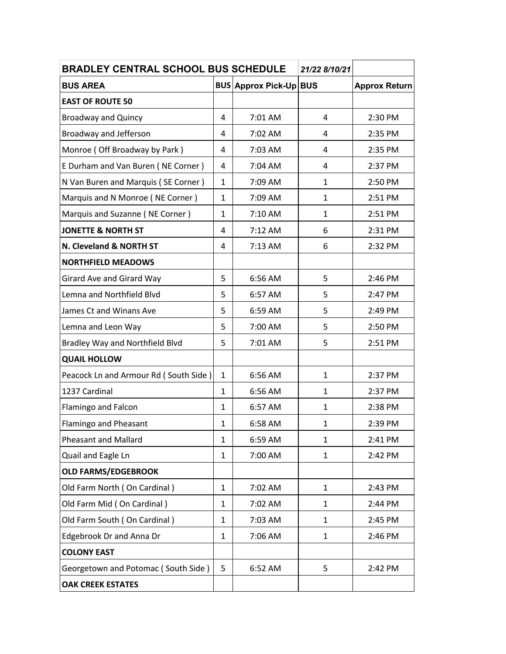| <b>BRADLEY CENTRAL SCHOOL BUS SCHEDULE</b> |              |                           | 21/22 8/10/21 |                      |
|--------------------------------------------|--------------|---------------------------|---------------|----------------------|
| <b>BUS AREA</b>                            |              | <b>BUS Approx Pick-Up</b> | <b>BUS</b>    | <b>Approx Return</b> |
| <b>EAST OF ROUTE 50</b>                    |              |                           |               |                      |
| <b>Broadway and Quincy</b>                 | 4            | 7:01 AM                   | 4             | 2:30 PM              |
| Broadway and Jefferson                     | 4            | 7:02 AM                   | 4             | 2:35 PM              |
| Monroe (Off Broadway by Park)              | 4            | 7:03 AM                   | 4             | 2:35 PM              |
| E Durham and Van Buren (NE Corner)         | 4            | 7:04 AM                   | 4             | 2:37 PM              |
| N Van Buren and Marquis (SE Corner)        | $\mathbf{1}$ | 7:09 AM                   | $\mathbf{1}$  | 2:50 PM              |
| Marquis and N Monroe (NE Corner)           | $\mathbf{1}$ | 7:09 AM                   | $\mathbf{1}$  | 2:51 PM              |
| Marquis and Suzanne (NE Corner)            | $\mathbf{1}$ | 7:10 AM                   | $\mathbf{1}$  | 2:51 PM              |
| <b>JONETTE &amp; NORTH ST</b>              | 4            | 7:12 AM                   | 6             | 2:31 PM              |
| N. Cleveland & NORTH ST                    | 4            | $7:13$ AM                 | 6             | 2:32 PM              |
| <b>NORTHFIELD MEADOWS</b>                  |              |                           |               |                      |
| Girard Ave and Girard Way                  | 5            | 6:56 AM                   | 5             | 2:46 PM              |
| Lemna and Northfield Blvd                  | 5            | 6:57 AM                   | 5             | 2:47 PM              |
| James Ct and Winans Ave                    | 5            | 6:59 AM                   | 5             | 2:49 PM              |
| Lemna and Leon Way                         | 5            | 7:00 AM                   | 5             | 2:50 PM              |
| Bradley Way and Northfield Blvd            | 5            | 7:01 AM                   | 5             | 2:51 PM              |
| <b>QUAIL HOLLOW</b>                        |              |                           |               |                      |
| Peacock Ln and Armour Rd (South Side)      | $\mathbf{1}$ | 6:56 AM                   | $\mathbf{1}$  | 2:37 PM              |
| 1237 Cardinal                              | $\mathbf{1}$ | 6:56 AM                   | 1             | 2:37 PM              |
| Flamingo and Falcon                        | $\mathbf{1}$ | 6:57 AM                   | $\mathbf{1}$  | 2:38 PM              |
| <b>Flamingo and Pheasant</b>               | 1            | 6:58 AM                   | 1             | 2:39 PM              |
| <b>Pheasant and Mallard</b>                | $\mathbf{1}$ | 6:59 AM                   | $\mathbf{1}$  | 2:41 PM              |
| Quail and Eagle Ln                         | $\mathbf{1}$ | 7:00 AM                   | $\mathbf{1}$  | 2:42 PM              |
| <b>OLD FARMS/EDGEBROOK</b>                 |              |                           |               |                      |
| Old Farm North (On Cardinal)               | 1            | 7:02 AM                   | $\mathbf{1}$  | 2:43 PM              |
| Old Farm Mid (On Cardinal)                 | $\mathbf{1}$ | 7:02 AM                   | $\mathbf{1}$  | 2:44 PM              |
| Old Farm South (On Cardinal)               | $\mathbf{1}$ | 7:03 AM                   | $\mathbf{1}$  | 2:45 PM              |
| <b>Edgebrook Dr and Anna Dr</b>            | 1            | 7:06 AM                   | $\mathbf{1}$  | 2:46 PM              |
| <b>COLONY EAST</b>                         |              |                           |               |                      |
| Georgetown and Potomac (South Side)        | 5            | 6:52 AM                   | 5             | 2:42 PM              |
| <b>OAK CREEK ESTATES</b>                   |              |                           |               |                      |